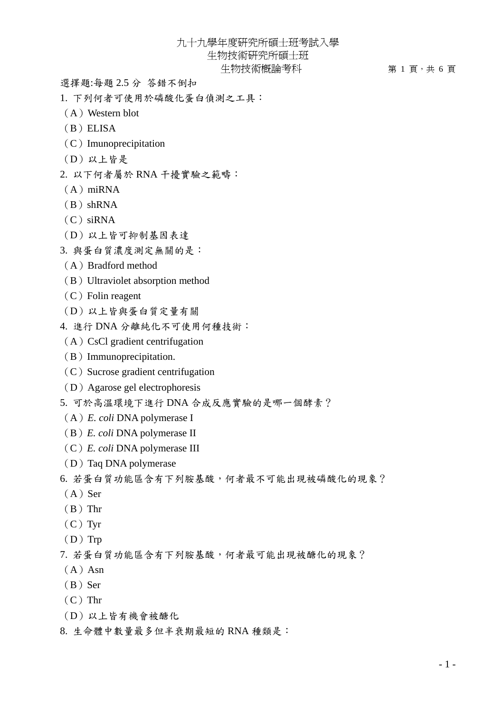九十九學年度研究所碩士班考試入學

生物技術研究所碩士班

生物技術概論考科 第 1 頁,共 6 頁

選擇題:每題 2.5 分 答錯不倒扣

- 1. 下列何者可使用於磷酸化蛋白偵測之工具:
- (A)Western blot
- (B)ELISA
- (C)Imunoprecipitation
- (D)以上皆是
- 2. 以下何者屬於 RNA 干擾實驗之範疇:
- $(A)$  miRNA
- $(B) shRNA$
- $(C)$  siRNA
- (D)以上皆可抑制基因表達
- 3. 與蛋白質濃度測定無關的是:
- (A)Bradford method
- (B) Ultraviolet absorption method
- $(C)$  Folin reagent
- (D)以上皆與蛋白質定量有關
- 4. 進行 DNA 分離純化不可使用何種技術:
	- $(A)$  CsCl gradient centrifugation
- (B)Immunoprecipitation.
- $(C)$  Sucrose gradient centrifugation
- (D)Agarose gel electrophoresis
- 5. 可於高溫環境下進行 DNA 合成反應實驗的是哪一個酵素?
- (A)*E. coli* DNA polymerase I
- (B)*E. coli* DNA polymerase II
- (C)*E. coli* DNA polymerase III
- (D) Taq DNA polymerase
- 6. 若蛋白質功能區含有下列胺基酸,何者最不可能出現被磷酸化的現象?
- $(A)$  Ser
- $(B)$  Thr
- $(C)$  Tyr
- $(D)$  Trp
- 7. 若蛋白質功能區含有下列胺基酸,何者最可能出現被醣化的現象?
- $(A)$  Asn
- $(B)$  Ser
- $(C)$  Thr
- (D)以上皆有機會被醣化
- 8. 生命體中數量最多但半衰期最短的 RNA 種類是: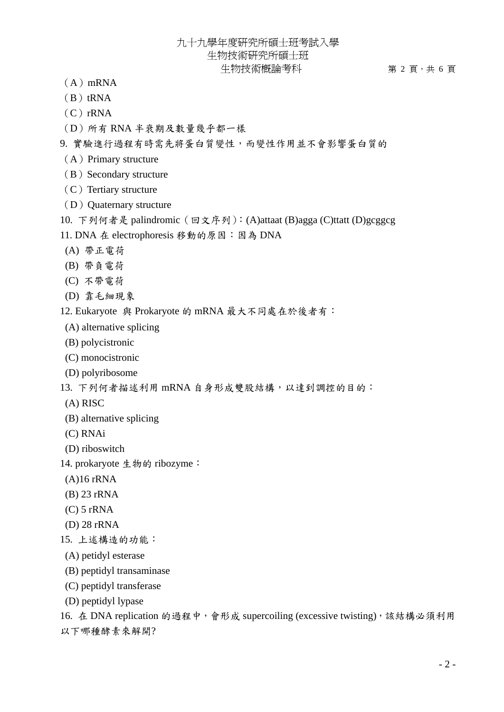九十九學年度研究所碩士班考試入學 生物技術研究所碩士班

## 生物技術概論考科 第 2 頁,共 6 頁

- $(A)$  mRNA
- $(B)$ tRNA
- $(C)$  rRNA
- (D)所有 RNA 半衰期及數量幾乎都一樣

9. 實驗進行過程有時需先將蛋白質變性,而變性作用並不會影響蛋白質的

- $(A)$  Primary structure
- (B) Secondary structure
- $(C)$  Tertiary structure
- (D) Quaternary structure
- 10. 下列何者是 palindromic(回文序列):(A)attaat (B)agga (C)ttatt (D)gcggcg
- 11. DNA 在 electrophoresis 移動的原因:因為 DNA
- (A) 帶正電荷
- (B) 帶負電荷
- (C) 不帶電荷
- (D) 靠毛細現象

12. Eukaryote 與 Prokaryote 的 mRNA 最大不同處在於後者有:

- (A) alternative splicing
- (B) polycistronic
- (C) monocistronic
- (D) polyribosome

13. 下列何者描述利用 mRNA 自身形成雙股結構,以達到調控的目的:

- (A) RISC
- (B) alternative splicing
- (C) RNAi
- (D) riboswitch
- 14. prokaryote 生物的 ribozyme:
- (A)16 rRNA
- (B) 23 rRNA
- $(C)$  5 rRNA
- (D) 28 rRNA
- 15. 上述構造的功能:
- (A) petidyl esterase
- (B) peptidyl transaminase
- (C) peptidyl transferase
- (D) peptidyl lypase

16. 在 DNA replication 的過程中,會形成 supercoiling (excessive twisting),該結構必須利用 以下哪種酵素來解開?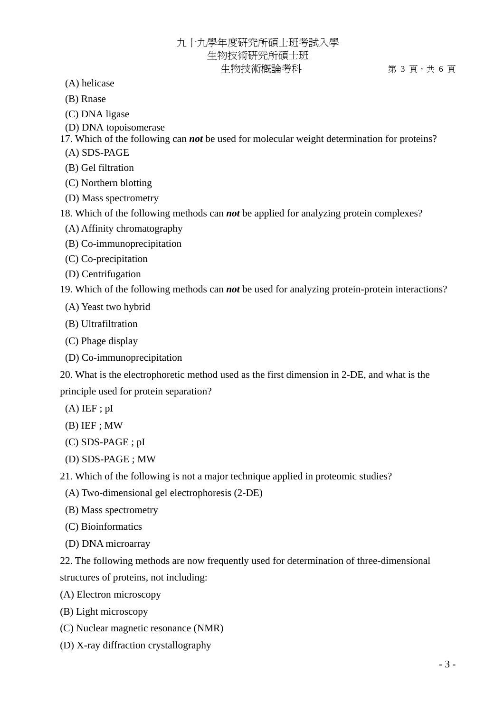(A) helicase

(B) Rnase

(C) DNA ligase

(D) DNA topoisomerase

17. Which of the following can *not* be used for molecular weight determination for proteins?

(A) SDS-PAGE

(B) Gel filtration

(C) Northern blotting

(D) Mass spectrometry

18. Which of the following methods can *not* be applied for analyzing protein complexes?

- (A) Affinity chromatography
- (B) Co-immunoprecipitation
- (C) Co-precipitation
- (D) Centrifugation

19. Which of the following methods can *not* be used for analyzing protein-protein interactions?

- (A) Yeast two hybrid
- (B) Ultrafiltration
- (C) Phage display
- (D) Co-immunoprecipitation

20. What is the electrophoretic method used as the first dimension in 2-DE, and what is the principle used for protein separation?

- $(A)$  IEF ; pI
- (B) IEF ; MW
- (C) SDS-PAGE ; pI
- (D) SDS-PAGE ; MW

21. Which of the following is not a major technique applied in proteomic studies?

- (A) Two-dimensional gel electrophoresis (2-DE)
- (B) Mass spectrometry
- (C) Bioinformatics
- (D) DNA microarray

22. The following methods are now frequently used for determination of three-dimensional structures of proteins, not including:

(A) Electron microscopy

(B) Light microscopy

- (C) Nuclear magnetic resonance (NMR)
- (D) X-ray diffraction crystallography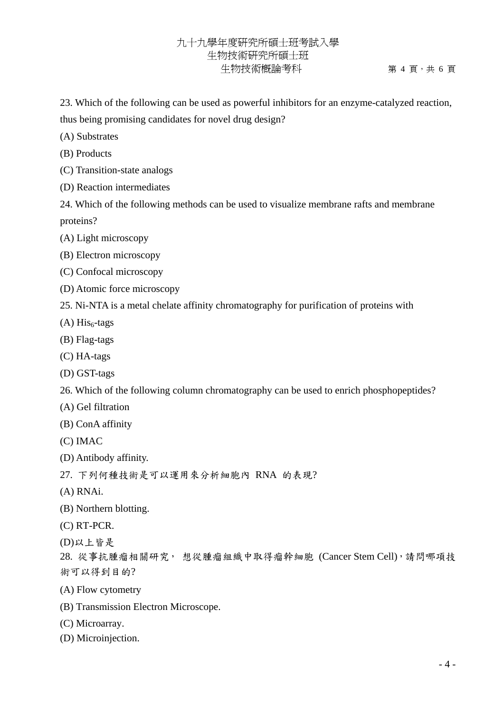## 九十九學年度研究所碩士班考試入學 生物技術研究所碩士班 生物技術概論考科 第 4 頁,共 6 頁

23. Which of the following can be used as powerful inhibitors for an enzyme-catalyzed reaction,

thus being promising candidates for novel drug design?

- (A) Substrates
- (B) Products
- (C) Transition-state analogs
- (D) Reaction intermediates

24. Which of the following methods can be used to visualize membrane rafts and membrane proteins?

- (A) Light microscopy
- (B) Electron microscopy
- (C) Confocal microscopy
- (D) Atomic force microscopy
- 25. Ni-NTA is a metal chelate affinity chromatography for purification of proteins with
- $(A) His<sub>6</sub>-tags$
- (B) Flag-tags
- (C) HA-tags
- (D) GST-tags
- 26. Which of the following column chromatography can be used to enrich phosphopeptides?
- (A) Gel filtration
- (B) ConA affinity
- (C) IMAC
- (D) Antibody affinity.
- 27. 下列何種技術是可以運用來分析細胞內 RNA 的表現?
- (A) RNAi.
- (B) Northern blotting.
- (C) RT-PCR.
- (D)以上皆是

28. 從事抗腫瘤相關研究, 想從腫瘤組織中取得瘤幹細胞 (Cancer Stem Cell),請問哪項技 術可以得到目的?

- (A) Flow cytometry
- (B) Transmission Electron Microscope.
- (C) Microarray.
- (D) Microinjection.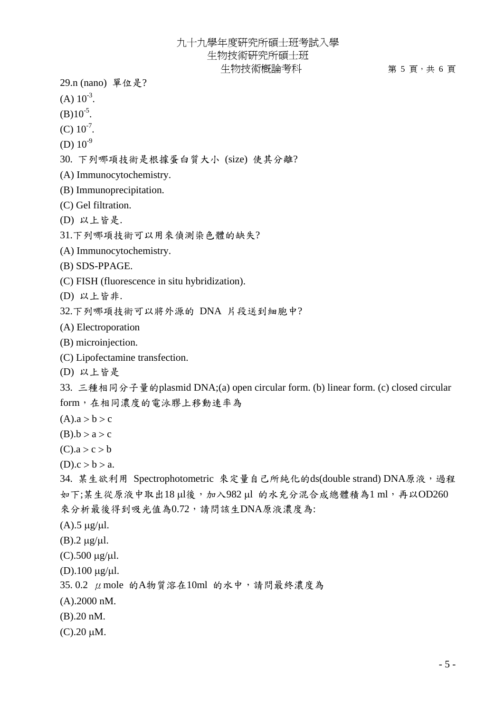## 九十九學年度研究所碩士班考試入學 生物技術研究所碩士班

生物技術概論考科 第 5 頁 · 共 6 頁

29.n (nano) 單位是?

- $(A) 10^{-3}$ .
- $(B)10^{-5}$ .
- $(C) 10^{-7}$ .
- (D)  $10^{-9}$
- 30. 下列哪項技術是根據蛋白質大小 (size) 使其分離?
- (A) Immunocytochemistry.
- (B) Immunoprecipitation.
- (C) Gel filtration.
- (D) 以上皆是.
- 31.下列哪項技術可以用來偵測染色體的缺失?
- (A) Immunocytochemistry.
- (B) SDS-PPAGE.
- (C) FISH (fluorescence in situ hybridization).
- (D) 以上皆非.
- 32.下列哪項技術可以將外源的 DNA 片段送到細胞中?
- (A) Electroporation
- (B) microinjection.
- (C) Lipofectamine transfection.
- (D) 以上皆是

33. 三種相同分子量的plasmid DNA;(a) open circular form. (b) linear form. (c) closed circular form,在相同濃度的電泳膠上移動速率為

- $(A).a > b > c$
- $(B).b > a > c$
- $(C).a > c > b$
- $(D).c > b > a.$

34. 某生欲利用 Spectrophotometric 來定量自己所純化的ds(double strand) DNA原液,過程 如下;某生從原液中取出18 μl後,加入982 μl 的水充分混合成總體積為1 ml,再以OD260 來分析最後得到吸光值為0.72,請問該生DNA原液濃度為:

- $(A)$ .5 μg/μl.
- (B).2  $\mu$ g/ $\mu$ l.
- (C).500 μg/μl.
- (D).100 μg/μl.
- 35. 0.2 μmole 的A物質溶在10ml 的水中,請問最終濃度為
- (A).2000 nM.
- (B).20 nM.
- (C).20 μM.